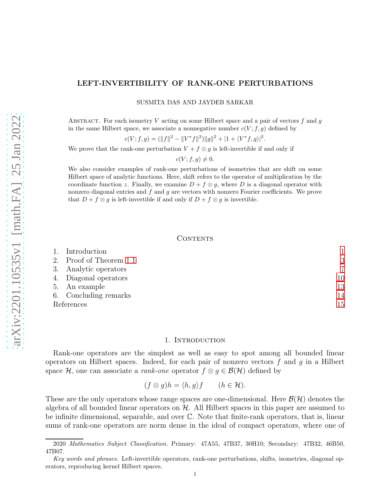# LEFT-INVERTIBILITY OF RANK-ONE PERTURBATIONS

SUSMITA DAS AND JAYDEB SARKAR

ABSTRACT. For each isometry V acting on some Hilbert space and a pair of vectors  $f$  and  $g$ in the same Hilbert space, we associate a nonnegative number  $c(V; f, g)$  defined by

$$
c(V; f, g) = (\|f\|^2 - \|V^*f\|^2) \|g\|^2 + |1 + \langle V^*f, g \rangle|^2
$$

.

We prove that the rank-one perturbation  $V + f \otimes g$  is left-invertible if and only if

$$
c(V; f, g) \neq 0.
$$

We also consider examples of rank-one perturbations of isometries that are shift on some Hilbert space of analytic functions. Here, shift refers to the operator of multiplication by the coordinate function z. Finally, we examine  $D + f \otimes g$ , where D is a diagonal operator with nonzero diagonal entries and  $f$  and  $g$  are vectors with nonzero Fourier coefficients. We prove that  $D + f \otimes g$  is left-invertible if and only if  $D + f \otimes g$  is invertible.

#### CONTENTS

| 2. Proof of Theorem 1.1<br>3. Analytic operators<br>4. Diagonal operators<br>5. An example<br>6. Concluding remarks<br>15<br>References |  | Introduction |    |
|-----------------------------------------------------------------------------------------------------------------------------------------|--|--------------|----|
|                                                                                                                                         |  |              | 3  |
|                                                                                                                                         |  |              | 7  |
|                                                                                                                                         |  |              | 10 |
|                                                                                                                                         |  |              | 13 |
|                                                                                                                                         |  |              | 14 |
|                                                                                                                                         |  |              |    |

# 1. INTRODUCTION

<span id="page-0-0"></span>Rank-one operators are the simplest as well as easy to spot among all bounded linear operators on Hilbert spaces. Indeed, for each pair of nonzero vectors  $f$  and  $g$  in a Hilbert space H, one can associate a *rank-one* operator  $f \otimes g \in \mathcal{B}(\mathcal{H})$  defined by

$$
(f \otimes g)h = \langle h, g \rangle f \qquad (h \in \mathcal{H}).
$$

These are the only operators whose range spaces are one-dimensional. Here  $\mathcal{B}(\mathcal{H})$  denotes the algebra of all bounded linear operators on  $H$ . All Hilbert spaces in this paper are assumed to be infinite dimensional, separable, and over C. Note that finite-rank operators, that is, linear sums of rank-one operators are norm dense in the ideal of compact operators, where one of

<sup>2020</sup> Mathematics Subject Classification. Primary: 47A55, 47B37, 30H10; Secondary: 47B32, 46B50, 47B07.

Key words and phrases. Left-invertible operators, rank-one perturbations, shifts, isometries, diagonal operators, reproducing kernel Hilbert spaces.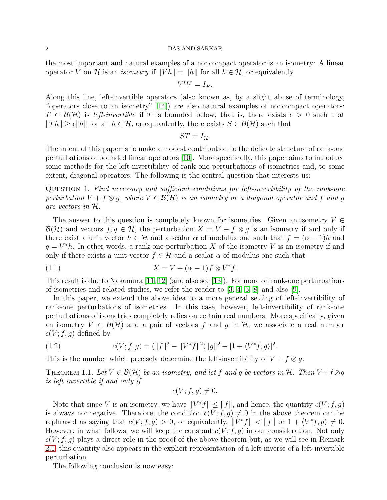the most important and natural examples of a noncompact operator is an isometry: A linear operator V on H is an *isometry* if  $||V h|| = ||h||$  for all  $h \in H$ , or equivalently

$$
V^*V=I_{\mathcal{H}}.
$$

Along this line, left-invertible operators (also known as, by a slight abuse of terminology, "operators close to an isometry" [\[14\]](#page-14-1)) are also natural examples of noncompact operators:  $T \in \mathcal{B}(\mathcal{H})$  is left-invertible if T is bounded below, that is, there exists  $\epsilon > 0$  such that  $||Th|| \geq \epsilon ||h||$  for all  $h \in H$ , or equivalently, there exists  $S \in \mathcal{B}(\mathcal{H})$  such that

$$
ST=I_{\mathcal{H}}.
$$

The intent of this paper is to make a modest contribution to the delicate structure of rank-one perturbations of bounded linear operators [10]. More specifically, this paper aims to introduce some methods for the left-invertibility of rank-one perturbations of isometries and, to some extent, diagonal operators. The following is the central question that interests us:

QUESTION 1. Find necessary and sufficient conditions for left-invertibility of the rank-one perturbation  $V + f \otimes g$ , where  $V \in \mathcal{B}(\mathcal{H})$  is an isometry or a diagonal operator and f and g are vectors in H.

The answer to this question is completely known for isometries. Given an isometry  $V \in$  $\mathcal{B}(\mathcal{H})$  and vectors  $f, g \in \mathcal{H}$ , the perturbation  $X = V + f \otimes g$  is an isometry if and only if there exist a unit vector  $h \in \mathcal{H}$  and a scalar  $\alpha$  of modulus one such that  $f = (\alpha - 1)h$  and  $g = V^*h$ . In other words, a rank-one perturbation X of the isometry V is an isometry if and only if there exists a unit vector  $f \in \mathcal{H}$  and a scalar  $\alpha$  of modulus one such that

<span id="page-1-2"></span>
$$
(1.1) \t\t X = V + (\alpha - 1)f \otimes V^*f.
$$

This result is due to Nakamura [\[11,](#page-14-2) 12] (and also see [13]). For more on rank-one perturbations of isometries and related studies, we refer the reader to [\[3,](#page-14-3) [4,](#page-14-4) [5,](#page-14-5) [8\]](#page-14-6) and also [\[9\]](#page-14-7).

In this paper, we extend the above idea to a more general setting of left-invertibility of rank-one perturbations of isometries. In this case, however, left-invertibility of rank-one perturbations of isometries completely relies on certain real numbers. More specifically, given an isometry  $V \in \mathcal{B}(\mathcal{H})$  and a pair of vectors f and g in H, we associate a real number  $c(V; f, g)$  defined by

<span id="page-1-1"></span>(1.2) 
$$
c(V; f, g) = (\|f\|^2 - \|V^*f\|^2) \|g\|^2 + |1 + \langle V^*f, g \rangle|^2.
$$

This is the number which precisely determine the left-invertibility of  $V + f \otimes g$ :

<span id="page-1-0"></span>THEOREM 1.1. Let  $V \in \mathcal{B}(\mathcal{H})$  be an isometry, and let f and g be vectors in  $\mathcal{H}$ . Then  $V + f \otimes g$ is left invertible if and only if

$$
c(V; f, g) \neq 0.
$$

Note that since V is an isometry, we have  $||V^*f|| \le ||f||$ , and hence, the quantity  $c(V; f, g)$ is always nonnegative. Therefore, the condition  $c(V; f, g) \neq 0$  in the above theorem can be rephrased as saying that  $c(V; f, g) > 0$ , or equivalently,  $||V^* f|| < ||f||$  or  $1 + \langle V^* f, g \rangle \neq 0$ . However, in what follows, we will keep the constant  $c(V; f, q)$  in our consideration. Not only  $c(V; f, g)$  plays a direct role in the proof of the above theorem but, as we will see in Remark [2.1,](#page-5-0) this quantity also appears in the explicit representation of a left inverse of a left-invertible perturbation.

The following conclusion is now easy: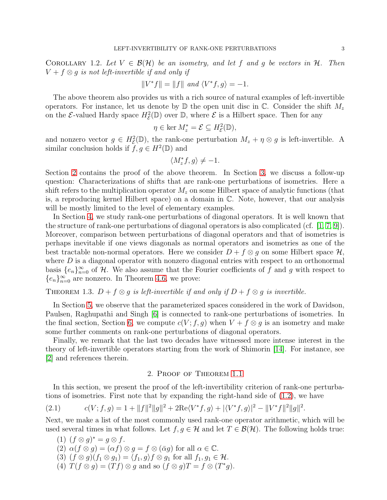COROLLARY 1.2. Let  $V \in \mathcal{B}(\mathcal{H})$  be an isometry, and let f and g be vectors in  $\mathcal{H}$ . Then  $V + f \otimes g$  is not left-invertible if and only if

$$
||V^*f|| = ||f|| \text{ and } \langle V^*f, g \rangle = -1.
$$

The above theorem also provides us with a rich source of natural examples of left-invertible operators. For instance, let us denote by  $\mathbb D$  the open unit disc in C. Consider the shift  $M_z$ on the  $\mathcal{E}\text{-valued Hardy space } H_{\mathcal{E}}^2(\mathbb{D})$  over  $\mathbb{D}$ , where  $\mathcal{E}$  is a Hilbert space. Then for any

$$
\eta \in \ker M_z^* = \mathcal{E} \subseteq H_{\mathcal{E}}^2(\mathbb{D}),
$$

and nonzero vector  $g \in H^2_{\mathcal{E}}(\mathbb{D})$ , the rank-one perturbation  $M_z + \eta \otimes g$  is left-invertible. A similar conclusion holds if  $f, g \in H^2(\mathbb{D})$  and

$$
\langle M_z^*f,g\rangle\neq -1.
$$

Section [2](#page-2-0) contains the proof of the above theorem. In Section [3,](#page-6-0) we discuss a follow-up question: Characterizations of shifts that are rank-one perturbations of isometries. Here a shift refers to the multiplication operator  $M_z$  on some Hilbert space of analytic functions (that is, a reproducing kernel Hilbert space) on a domain in C. Note, however, that our analysis will be mostly limited to the level of elementary examples.

In Section [4,](#page-9-0) we study rank-one perturbations of diagonal operators. It is well known that the structure of rank-one perturbations of diagonal operators is also complicated (cf.  $[1, 7, 9]$  $[1, 7, 9]$ ). Moreover, comparison between perturbations of diagonal operators and that of isometries is perhaps inevitable if one views diagonals as normal operators and isometries as one of the best tractable non-normal operators. Here we consider  $D + f \otimes q$  on some Hilbert space  $\mathcal{H}$ , where  $D$  is a diagonal operator with nonzero diagonal entries with respect to an orthonormal basis  ${e_n}_{n=0}^{\infty}$  of H. We also assume that the Fourier coefficients of f and g with respect to  ${e_n}_{n=0}^{\infty}$  are nonzero. In Theorem [4.6,](#page-11-0) we prove:

THEOREM 1.3.  $D + f \otimes q$  is left-invertible if and only if  $D + f \otimes q$  is invertible.

In Section [5,](#page-12-0) we observe that the parameterized spaces considered in the work of Davidson, Paulsen, Raghupathi and Singh [6] is connected to rank-one perturbations of isometries. In the final section, Section [6,](#page-13-0) we compute  $c(V; f, g)$  when  $V + f \otimes g$  is an isometry and make some further comments on rank-one perturbations of diagonal operators.

Finally, we remark that the last two decades have witnessed more intense interest in the theory of left-invertible operators starting from the work of Shimorin [\[14\]](#page-14-1). For instance, see [\[2\]](#page-14-9) and references therein.

# 2. Proof of Theorem [1.1](#page-1-0)

<span id="page-2-0"></span>In this section, we present the proof of the left-invertibility criterion of rank-one perturbations of isometries. First note that by expanding the right-hand side of [\(1.2\)](#page-1-1), we have

<span id="page-2-1"></span>(2.1) 
$$
c(V; f, g) = 1 + ||f||^2 ||g||^2 + 2\text{Re}\langle V^* f, g \rangle + |\langle V^* f, g \rangle|^2 - ||V^* f||^2 ||g||^2.
$$

Next, we make a list of the most commonly used rank-one operator arithmetic, which will be used several times in what follows. Let  $f, g \in \mathcal{H}$  and let  $T \in \mathcal{B}(\mathcal{H})$ . The following holds true:

(1)  $(f \otimes g)^* = g \otimes f$ . (2)  $\alpha(f \otimes g) = (\alpha f) \otimes g = f \otimes (\bar{\alpha}g)$  for all  $\alpha \in \mathbb{C}$ . (3)  $(f \otimes g)(f_1 \otimes g_1) = \langle f_1, g \rangle f \otimes g_1$  for all  $f_1, g_1 \in \mathcal{H}$ . (4)  $T(f \otimes g) = (Tf) \otimes g$  and so  $(f \otimes g)T = f \otimes (T^*g)$ .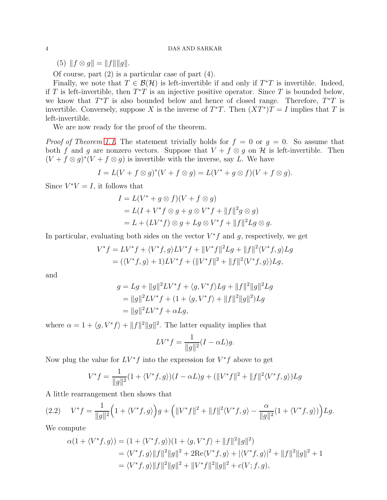(5)  $|| f \otimes g || = ||f|| ||g||.$ 

Of course, part (2) is a particular case of part (4).

Finally, we note that  $T \in \mathcal{B}(\mathcal{H})$  is left-invertible if and only if  $T^*T$  is invertible. Indeed, if T is left-invertible, then  $T^*T$  is an injective positive operator. Since T is bounded below, we know that  $T^*T$  is also bounded below and hence of closed range. Therefore,  $T^*T$  is invertible. Conversely, suppose X is the inverse of  $T^*T$ . Then  $(XT^*)T = I$  implies that T is left-invertible.

We are now ready for the proof of the theorem.

*Proof of Theorem [1.1.](#page-1-0)* The statement trivially holds for  $f = 0$  or  $g = 0$ . So assume that both f and g are nonzero vectors. Suppose that  $V + f \otimes g$  on H is left-invertible. Then  $(V + f \otimes g)^*(V + f \otimes g)$  is invertible with the inverse, say L. We have

$$
I = L(V + f \otimes g)^{*}(V + f \otimes g) = L(V^{*} + g \otimes f)(V + f \otimes g).
$$

Since  $V^*V = I$ , it follows that

$$
I = L(V^* + g \otimes f)(V + f \otimes g)
$$
  
= L(I + V^\* f \otimes g + g \otimes V^\* f + ||f||^2 g \otimes g)  
= L + (LV^\* f) \otimes g + Lg \otimes V^\* f + ||f||^2 Lg \otimes g.

In particular, evaluating both sides on the vector  $V^*f$  and g, respectively, we get

$$
V^* f = LV^* f + \langle V^* f, g \rangle LV^* f + ||V^* f||^2 Lg + ||f||^2 \langle V^* f, g \rangle Lg
$$
  
=  $(\langle V^* f, g \rangle + 1) LV^* f + (||V^* f||^2 + ||f||^2 \langle V^* f, g \rangle) Lg,$ 

and

$$
g = Lg + ||g||^2 LV^* f + \langle g, V^* f \rangle Lg + ||f||^2 ||g||^2 Lg
$$
  
=  $||g||^2 LV^* f + (1 + \langle g, V^* f \rangle + ||f||^2 ||g||^2) Lg$   
=  $||g||^2 LV^* f + \alpha Lg$ ,

where  $\alpha = 1 + \langle g, V^* f \rangle + ||f||^2 ||g||^2$ . The latter equality implies that

$$
LV^*f = \frac{1}{\|g\|^2}(I - \alpha L)g.
$$

Now plug the value for  $LV^*f$  into the expression for  $V^*f$  above to get

$$
V^*f = \frac{1}{\|g\|^2} (1 + \langle V^*f, g \rangle)(I - \alpha L)g + (\|V^*f\|^2 + \|f\|^2 \langle V^*f, g \rangle) Lg
$$

A little rearrangement then shows that

<span id="page-3-0"></span>
$$
(2.2) \tV^* f = \frac{1}{\|g\|^2} \Big( 1 + \langle V^* f, g \rangle \Big) g + \Big( \|V^* f\|^2 + \|f\|^2 \langle V^* f, g \rangle - \frac{\alpha}{\|g\|^2} (1 + \langle V^* f, g \rangle) \Big) Lg.
$$

We compute

$$
\alpha(1 + \langle V^*f, g \rangle) = (1 + \langle V^*f, g \rangle)(1 + \langle g, V^*f \rangle + ||f||^2||g||^2)
$$
  
=  $\langle V^*f, g \rangle ||f||^2 ||g||^2 + 2\text{Re}\langle V^*f, g \rangle + |\langle V^*f, g \rangle|^2 + ||f||^2||g||^2 + 1$   
=  $\langle V^*f, g \rangle ||f||^2 ||g||^2 + ||V^*f||^2 ||g||^2 + c(V; f, g),$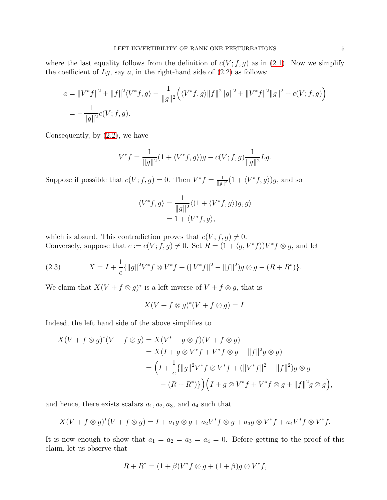where the last equality follows from the definition of  $c(V; f, g)$  as in [\(2.1\)](#page-2-1). Now we simplify the coefficient of  $Lg$ , say  $a$ , in the right-hand side of  $(2.2)$  as follows:

$$
a = \|V^*f\|^2 + \|f\|^2 \langle V^*f, g \rangle - \frac{1}{\|g\|^2} \Big( \langle V^*f, g \rangle \|f\|^2 \|g\|^2 + \|V^*f\|^2 \|g\|^2 + c(V; f, g) \Big)
$$
  
= 
$$
-\frac{1}{\|g\|^2} c(V; f, g).
$$

Consequently, by [\(2.2\)](#page-3-0), we have

$$
V^*f = \frac{1}{\|g\|^2} (1 + \langle V^*f, g \rangle)g - c(V; f, g)\frac{1}{\|g\|^2} Lg.
$$

Suppose if possible that  $c(V; f, g) = 0$ . Then  $V^* f = \frac{1}{||g||}$  $\frac{1}{\|g\|^2} (1 + \langle V^* f, g \rangle) g$ , and so

$$
\langle V^* f, g \rangle = \frac{1}{\|g\|^2} \langle (1 + \langle V^* f, g \rangle) g, g \rangle
$$
  
= 1 + \langle V^\* f, g \rangle,

which is absurd. This contradiction proves that  $c(V; f, g) \neq 0$ . Conversely, suppose that  $c := c(V; f, g) \neq 0$ . Set  $R = (1 + \langle g, V^* f \rangle)V^* f \otimes g$ , and let

<span id="page-4-0"></span>(2.3) 
$$
X = I + \frac{1}{c} {\{\|g\|^{2}V^{*}f \otimes V^{*}f + (\|V^{*}f\|^{2} - \|f\|^{2})g \otimes g - (R + R^{*})\}}.
$$

We claim that  $X(V + f \otimes g)^*$  is a left inverse of  $V + f \otimes g$ , that is

$$
X(V + f \otimes g)^{*}(V + f \otimes g) = I.
$$

Indeed, the left hand side of the above simplifies to

$$
X(V + f \otimes g)^*(V + f \otimes g) = X(V^* + g \otimes f)(V + f \otimes g)
$$
  
=  $X(I + g \otimes V^*f + V^*f \otimes g + ||f||^2g \otimes g)$   
=  $\left(I + \frac{1}{c}\{||g||^2V^*f \otimes V^*f + (||V^*f||^2 - ||f||^2)g \otimes g\right.$   
 $-(R + R^*)\}\left((I + g \otimes V^*f + V^*f \otimes g + ||f||^2g \otimes g)\right),$ 

and hence, there exists scalars  $a_1, a_2, a_3$ , and  $a_4$  such that

$$
X(V+f\otimes g)^{*}(V+f\otimes g)=I+a_{1}g\otimes g+a_{2}V^{*}f\otimes g+a_{3}g\otimes V^{*}f+a_{4}V^{*}f\otimes V^{*}f.
$$

It is now enough to show that  $a_1 = a_2 = a_3 = a_4 = 0$ . Before getting to the proof of this claim, let us observe that

$$
R + R^* = (1 + \overline{\beta})V^* f \otimes g + (1 + \beta)g \otimes V^* f,
$$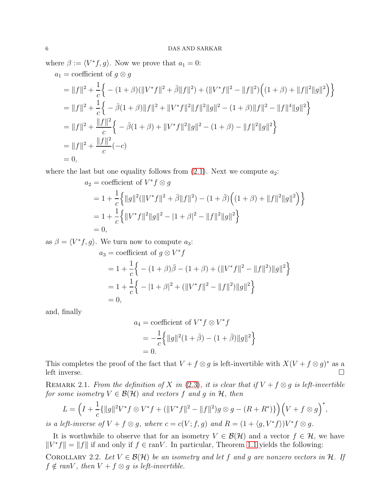where  $\beta := \langle V^*f, g \rangle$ . Now we prove that  $a_1 = 0$ :  $a_1$  = coefficient of  $a \otimes a$ 

$$
\begin{split}\n&=||f||^2 + \frac{1}{c} \Big\{ -(1+\beta)(||V^*f||^2 + \bar{\beta}||f||^2) + (||V^*f||^2 - ||f||^2) \Big( (1+\beta) + ||f||^2||g||^2 \Big) \Big\} \\
&= ||f||^2 + \frac{1}{c} \Big\{ -\bar{\beta}(1+\beta) ||f||^2 + ||V^*f||^2||f||^2||g||^2 - (1+\beta)||f||^2 - ||f||^4||g||^2 \Big\} \\
&= ||f||^2 + \frac{||f||^2}{c} \Big\{ -\bar{\beta}(1+\beta) + ||V^*f||^2||g||^2 - (1+\beta) - ||f||^2||g||^2 \Big\} \\
&= ||f||^2 + \frac{||f||^2}{c} (-c) \\
&= 0,\n\end{split}
$$

where the last but one equality follows from  $(2.1)$ . Next we compute  $a_2$ :

$$
a_2 = \text{coefficient of } V^* f \otimes g
$$
  
=  $1 + \frac{1}{c} \left\{ ||g||^2 (||V^* f||^2 + \overline{\beta}||f||^2) - (1 + \overline{\beta}) \left( (1 + \beta) + ||f||^2 ||g||^2 \right) \right\}$   
=  $1 + \frac{1}{c} \left\{ ||V^* f||^2 ||g||^2 - |1 + \beta|^2 - ||f||^2 ||g||^2 \right\}$   
= 0,

as  $\beta = \langle V^*f, g \rangle$ . We turn now to compute  $a_3$ :

$$
a_3 = \text{coefficient of } g \otimes V^* f
$$
  
=  $1 + \frac{1}{c} \left\{ -(1 + \beta)\bar{\beta} - (1 + \beta) + (\|V^*f\|^2 - \|f\|^2) \|g\|^2 \right\}$   
=  $1 + \frac{1}{c} \left\{ -(1 + \beta)^2 + (\|V^*f\|^2 - \|f\|^2) \|g\|^2 \right\}$   
= 0,

and, finally

$$
a_4 = \text{coefficient of } V^* f \otimes V^* f
$$
  
=  $-\frac{1}{c} \{ ||g||^2 (1 + \bar{\beta}) - (1 + \bar{\beta}) ||g||^2 \}$   
= 0.

This completes the proof of the fact that  $V + f \otimes g$  is left-invertible with  $X(V + f \otimes g)^*$  as a left inverse.  $\Box$ 

<span id="page-5-0"></span>REMARK 2.1. From the definition of X in [\(2.3\)](#page-4-0), it is clear that if  $V + f \otimes g$  is left-invertible for some isometry  $V \in \mathcal{B}(\mathcal{H})$  and vectors f and q in  $\mathcal{H}$ , then

$$
L = \left(I + \frac{1}{c}\{\|g\|^2 V^* f \otimes V^* f + (\|V^* f\|^2 - \|f\|^2)g \otimes g - (R + R^*)\}\right) \left(V + f \otimes g\right)^*,
$$

is a left-inverse of  $V + f \otimes g$ , where  $c = c(V; f, g)$  and  $R = (1 + \langle g, V^* f \rangle)V^*f \otimes g$ .

It is worthwhile to observe that for an isometry  $V \in \mathcal{B}(\mathcal{H})$  and a vector  $f \in \mathcal{H}$ , we have  $||V^*f|| = ||f||$  if and only if  $f \in \text{ran}V$ . In particular, Theorem [1.1](#page-1-0) yields the following:

COROLLARY 2.2. Let  $V \in \mathcal{B}(\mathcal{H})$  be an isometry and let f and g are nonzero vectors in H. If  $f \notin \text{ran}V$ , then  $V + f \otimes g$  is left-invertible.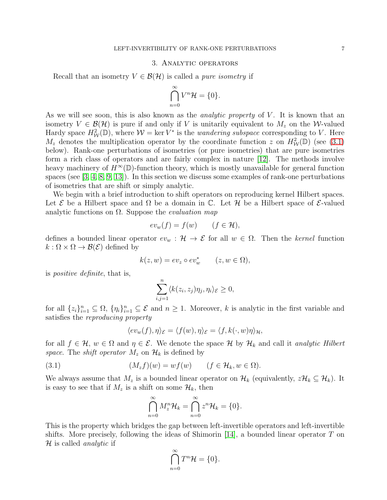### 3. Analytic operators

<span id="page-6-0"></span>Recall that an isometry  $V \in \mathcal{B}(\mathcal{H})$  is called a *pure isometry* if

$$
\bigcap_{n=0}^{\infty} V^n \mathcal{H} = \{0\}.
$$

As we will see soon, this is also known as the *analytic property* of  $V$ . It is known that an isometry  $V \in \mathcal{B}(\mathcal{H})$  is pure if and only if V is unitarily equivalent to  $M_z$  on the W-valued Hardy space  $H^2_W(\mathbb{D})$ , where  $\mathcal{W} = \text{ker } V^*$  is the *wandering subspace* corresponding to V. Here  $M_z$  denotes the multiplication operator by the coordinate function z on  $H^2_W(\mathbb{D})$  (see [\(3.1\)](#page-6-1) below). Rank-one perturbations of isometries (or pure isometries) that are pure isometries form a rich class of operators and are fairly complex in nature [12]. The methods involve heavy machinery of  $H^{\infty}(\mathbb{D})$ -function theory, which is mostly unavailable for general function spaces (see [\[3,](#page-14-3) [4,](#page-14-4) [8,](#page-14-6) [9,](#page-14-7) 13]). In this section we discuss some examples of rank-one perturbations of isometries that are shift or simply analytic.

We begin with a brief introduction to shift operators on reproducing kernel Hilbert spaces. Let E be a Hilbert space and  $\Omega$  be a domain in C. Let H be a Hilbert space of E-valued analytic functions on  $\Omega$ . Suppose the *evaluation map* 

$$
ev_w(f) = f(w) \qquad (f \in \mathcal{H}),
$$

defines a bounded linear operator  $ev_w : \mathcal{H} \to \mathcal{E}$  for all  $w \in \Omega$ . Then the kernel function  $k : \Omega \times \Omega \to \mathcal{B}(\mathcal{E})$  defined by

$$
k(z, w) = ev_z \circ ev_w^* \qquad (z, w \in \Omega),
$$

is positive definite, that is,

$$
\sum_{i,j=1}^n \langle k(z_i, z_j)\eta_j, \eta_i \rangle_{\mathcal{E}} \ge 0,
$$

for all  $\{z_i\}_{i=1}^n \subseteq \Omega$ ,  $\{\eta_i\}_{i=1}^n \subseteq \mathcal{E}$  and  $n \geq 1$ . Moreover, k is analytic in the first variable and satisfies the reproducing property

<span id="page-6-1"></span>
$$
\langle ev_w(f), \eta \rangle_{\mathcal{E}} = \langle f(w), \eta \rangle_{\mathcal{E}} = \langle f, k(\cdot, w)\eta \rangle_{\mathcal{H}},
$$

for all  $f \in \mathcal{H}$ ,  $w \in \Omega$  and  $\eta \in \mathcal{E}$ . We denote the space  $\mathcal{H}$  by  $\mathcal{H}_k$  and call it analytic Hilbert space. The shift operator  $M_z$  on  $\mathcal{H}_k$  is defined by

(3.1) 
$$
(M_z f)(w) = wf(w) \qquad (f \in \mathcal{H}_k, w \in \Omega).
$$

We always assume that  $M_z$  is a bounded linear operator on  $\mathcal{H}_k$  (equivalently,  $z\mathcal{H}_k \subseteq \mathcal{H}_k$ ). It is easy to see that if  $M_z$  is a shift on some  $\mathcal{H}_k$ , then

$$
\bigcap_{n=0}^{\infty} M_z^n \mathcal{H}_k = \bigcap_{n=0}^{\infty} z^n \mathcal{H}_k = \{0\}.
$$

This is the property which bridges the gap between left-invertible operators and left-invertible shifts. More precisely, following the ideas of Shimorin [\[14\]](#page-14-1), a bounded linear operator T on  $\mathcal H$  is called *analytic* if

$$
\bigcap_{n=0}^{\infty} T^n \mathcal{H} = \{0\}.
$$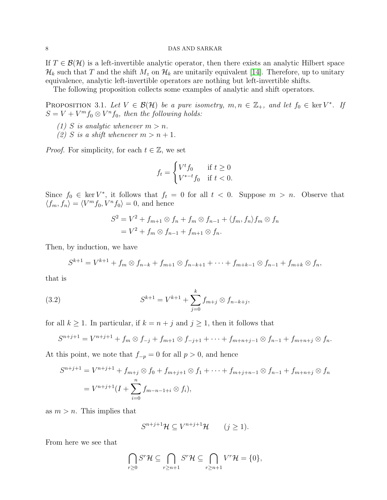If  $T \in \mathcal{B}(\mathcal{H})$  is a left-invertible analytic operator, then there exists an analytic Hilbert space  $\mathcal{H}_k$  such that T and the shift  $M_z$  on  $\mathcal{H}_k$  are unitarily equivalent [\[14\]](#page-14-1). Therefore, up to unitary equivalence, analytic left-invertible operators are nothing but left-invertible shifts.

The following proposition collects some examples of analytic and shift operators.

<span id="page-7-0"></span>PROPOSITION 3.1. Let  $V \in \mathcal{B}(\mathcal{H})$  be a pure isometry,  $m, n \in \mathbb{Z}_+$ , and let  $f_0 \in \text{ker } V^*$ . If  $S = V + V^m f_0 \otimes V^n f_0$ , then the following holds:

- (1) S is analytic whenever  $m > n$ .
- (2) S is a shift whenever  $m > n + 1$ .

*Proof.* For simplicity, for each  $t \in \mathbb{Z}$ , we set

$$
f_t = \begin{cases} V^t f_0 & \text{if } t \ge 0\\ V^{*-t} f_0 & \text{if } t < 0. \end{cases}
$$

Since  $f_0 \in \text{ker } V^*$ , it follows that  $f_t = 0$  for all  $t < 0$ . Suppose  $m > n$ . Observe that  $\langle f_m, f_n \rangle = \langle V^m f_0, V^n f_0 \rangle = 0$ , and hence

$$
S^2 = V^2 + f_{m+1} \otimes f_n + f_m \otimes f_{n-1} + \langle f_m, f_n \rangle f_m \otimes f_n
$$
  
=  $V^2 + f_m \otimes f_{n-1} + f_{m+1} \otimes f_n$ .

Then, by induction, we have

$$
S^{k+1} = V^{k+1} + f_m \otimes f_{n-k} + f_{m+1} \otimes f_{n-k+1} + \cdots + f_{m+k-1} \otimes f_{n-1} + f_{m+k} \otimes f_n,
$$

that is

(3.2) 
$$
S^{k+1} = V^{k+1} + \sum_{j=0}^{k} f_{m+j} \otimes f_{n-k+j},
$$

for all  $k \ge 1$ . In particular, if  $k = n + j$  and  $j \ge 1$ , then it follows that

$$
S^{n+j+1} = V^{n+j+1} + f_m \otimes f_{-j} + f_{m+1} \otimes f_{-j+1} + \cdots + f_{m+n+j-1} \otimes f_{n-1} + f_{m+n+j} \otimes f_n.
$$

At this point, we note that  $f_{-p} = 0$  for all  $p > 0$ , and hence

$$
S^{n+j+1} = V^{n+j+1} + f_{m+j} \otimes f_0 + f_{m+j+1} \otimes f_1 + \dots + f_{m+j+n-1} \otimes f_{n-1} + f_{m+n+j} \otimes f_n
$$
  
=  $V^{n+j+1}(I + \sum_{i=0}^n f_{m-n-1+i} \otimes f_i),$ 

as  $m > n$ . This implies that

$$
S^{n+j+1}\mathcal{H} \subseteq V^{n+j+1}\mathcal{H} \qquad (j \ge 1).
$$

From here we see that

$$
\bigcap_{r\geq 0} S^r \mathcal{H} \subseteq \bigcap_{r\geq n+1} S^r \mathcal{H} \subseteq \bigcap_{r\geq n+1} V^r \mathcal{H} = \{0\},\
$$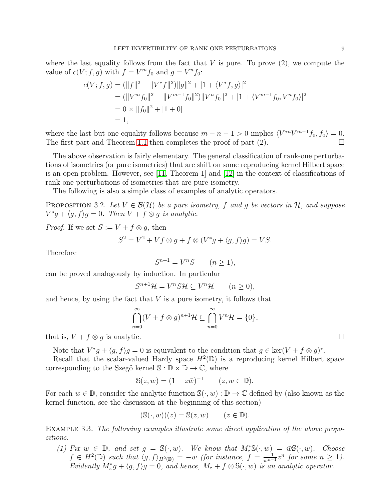where the last equality follows from the fact that  $V$  is pure. To prove  $(2)$ , we compute the value of  $c(V; f, g)$  with  $f = V^m f_0$  and  $g = V^n f_0$ :

$$
c(V; f, g) = (\|f\|^2 - \|V^*f\|^2) \|g\|^2 + |1 + \langle V^*f, g \rangle|^2
$$
  
= 
$$
(\|V^m f_0\|^2 - \|V^{m-1} f_0\|^2) \|V^n f_0\|^2 + |1 + \langle V^{m-1} f_0, V^n f_0 \rangle|^2
$$
  
= 
$$
0 \times \|f_0\|^2 + |1 + 0|
$$
  
= 1,

where the last but one equality follows because  $m - n - 1 > 0$  implies  $\langle V^{*n}V^{m-1}f_0, f_0 \rangle = 0$ . The first part and Theorem [1.1](#page-1-0) then completes the proof of part (2).

The above observation is fairly elementary. The general classification of rank-one perturbations of isometries (or pure isometries) that are shift on some reproducing kernel Hilbert space is an open problem. However, see [\[11,](#page-14-2) Theorem 1] and [12] in the context of classifications of rank-one perturbations of isometries that are pure isometry.

The following is also a simple class of examples of analytic operators.

<span id="page-8-0"></span>PROPOSITION 3.2. Let  $V \in \mathcal{B}(\mathcal{H})$  be a pure isometry, f and g be vectors in H, and suppose  $V^*g + \langle g, f \rangle g = 0$ . Then  $V + f \otimes g$  is analytic.

*Proof.* If we set  $S := V + f \otimes q$ , then

$$
S^2 = V^2 + Vf \otimes g + f \otimes (V^*g + \langle g, f \rangle g) = VS.
$$

Therefore

$$
S^{n+1} = V^n S \qquad (n \ge 1),
$$

can be proved analogously by induction. In particular

$$
S^{n+1}\mathcal{H} = V^n S \mathcal{H} \subseteq V^n \mathcal{H} \qquad (n \ge 0),
$$

and hence, by using the fact that  $V$  is a pure isometry, it follows that

$$
\bigcap_{n=0}^{\infty} (V + f \otimes g)^{n+1} \mathcal{H} \subseteq \bigcap_{n=0}^{\infty} V^n \mathcal{H} = \{0\},\
$$

that is,  $V + f \otimes q$  is analytic.

Note that  $V^*g + \langle g, f \rangle g = 0$  is equivalent to the condition that  $g \in \text{ker}(V + f \otimes g)^*$ .

Recall that the scalar-valued Hardy space  $H^2(\mathbb{D})$  is a reproducing kernel Hilbert space corresponding to the Szegö kernel  $\mathbb{S}: \mathbb{D} \times \mathbb{D} \to \mathbb{C}$ , where

$$
\mathbb{S}(z, w) = (1 - z\overline{w})^{-1} \qquad (z, w \in \mathbb{D}).
$$

For each  $w \in \mathbb{D}$ , consider the analytic function  $\mathbb{S}(\cdot, w) : \mathbb{D} \to \mathbb{C}$  defined by (also known as the kernel function, see the discussion at the beginning of this section)

$$
(\mathbb{S}(\cdot, w))(z) = \mathbb{S}(z, w) \qquad (z \in \mathbb{D}).
$$

EXAMPLE 3.3. The following examples illustrate some direct application of the above propositions.

(1) Fix  $w \in \mathbb{D}$ , and set  $g = \mathbb{S}(\cdot, w)$ . We know that  $M_z^* \mathbb{S}(\cdot, w) = \overline{w} \mathbb{S}(\cdot, w)$ . Choose  $f \in H^2(\mathbb{D})$  such that  $\langle g, f \rangle_{H^2(\mathbb{D})} = -\bar{w}$  (for instance,  $f = \frac{-1}{\bar{w}^{n-1}} z^n$  for some  $n \geq 1$ ). Evidently  $M_z^*g + \langle g, f \rangle g = 0$ , and hence,  $M_z + f \otimes \mathbb{S}(\cdot, w)$  is an analytic operator.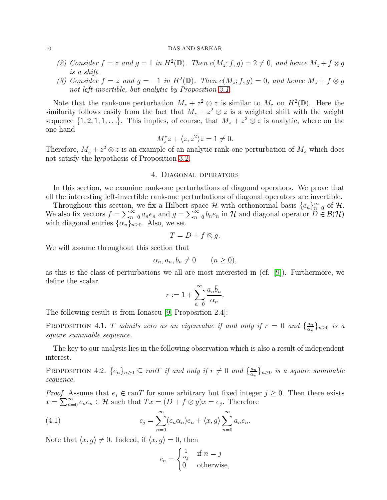- (2) Consider  $f = z$  and  $g = 1$  in  $H^2(\mathbb{D})$ . Then  $c(M_z; f, g) = 2 \neq 0$ , and hence  $M_z + f \otimes g$ is a shift.
- (3) Consider  $f = z$  and  $g = -1$  in  $H^2(\mathbb{D})$ . Then  $c(M_z; f, g) = 0$ , and hence  $M_z + f \otimes g$ not left-invertible, but analytic by Proposition [3.1.](#page-7-0)

Note that the rank-one perturbation  $M_z + z^2 \otimes z$  is similar to  $M_z$  on  $H^2(\mathbb{D})$ . Here the similarity follows easily from the fact that  $M_z + z^2 \otimes z$  is a weighted shift with the weight sequence  $\{1, 2, 1, 1, \ldots\}$ . This implies, of course, that  $M_z + z^2 \otimes z$  is analytic, where on the one hand

$$
M_z^* z + \langle z, z^2 \rangle z = 1 \neq 0.
$$

<span id="page-9-0"></span>Therefore,  $M_z + z^2 \otimes z$  is an example of an analytic rank-one perturbation of  $M_z$  which does not satisfy the hypothesis of Proposition [3.2.](#page-8-0)

#### 4. Diagonal operators

In this section, we examine rank-one perturbations of diagonal operators. We prove that all the interesting left-invertible rank-one perturbations of diagonal operators are invertible.

Throughout this section, we fix a Hilbert space  $\mathcal H$  with orthonormal basis  $\{e_n\}_{n=0}^{\infty}$  of  $\mathcal H$ . We also fix vectors  $f = \sum_{n=0}^{\infty} a_n e_n$  and  $g = \sum_{n=0}^{\infty} b_n e_n$  in H and diagonal operator  $D \in \mathcal{B}(\mathcal{H})$ with diagonal entries  $\{\alpha_n\}_{n\geq 0}$ . Also, we set

$$
T = D + f \otimes g.
$$

We will assume throughout this section that

$$
\alpha_n, a_n, b_n \neq 0 \qquad (n \ge 0),
$$

as this is the class of perturbations we all are most interested in (cf. [\[9\]](#page-14-7)). Furthermore, we define the scalar

$$
r := 1 + \sum_{n=0}^{\infty} \frac{a_n \bar{b}_n}{\alpha_n}.
$$

The following result is from Ionascu [\[9,](#page-14-7) Proposition 2.4]:

<span id="page-9-2"></span>PROPOSITION 4.1. T admits zero as an eigenvalue if and only if  $r = 0$  and  $\{\frac{a_n}{\alpha_n}\}$  $\frac{a_n}{\alpha_n}$ }<sub>n≥0</sub> is a square summable sequence.

The key to our analysis lies in the following observation which is also a result of independent interest.

<span id="page-9-3"></span>PROPOSITION 4.2.  $\{e_n\}_{n\geq 0} \subseteq \text{ran}T$  if and only if  $r \neq 0$  and  $\{\frac{a_n}{\alpha_n}$  $\frac{a_n}{\alpha_n}\}_{n\geq 0}$  is a square summable sequence.

*Proof.* Assume that  $e_j \in \text{ran}T$  for some arbitrary but fixed integer  $j \geq 0$ . Then there exists  $x = \sum_{n=0}^{\infty} c_n e_n \in \mathcal{H}$  such that  $Tx = (D + f \otimes g)x = e_j$ . Therefore

(4.1) 
$$
e_j = \sum_{n=0}^{\infty} (c_n \alpha_n) e_n + \langle x, g \rangle \sum_{n=0}^{\infty} a_n e_n.
$$

Note that  $\langle x, g \rangle \neq 0$ . Indeed, if  $\langle x, g \rangle = 0$ , then

<span id="page-9-1"></span>
$$
c_n = \begin{cases} \frac{1}{\alpha_j} & \text{if } n = j \\ 0 & \text{otherwise,} \end{cases}
$$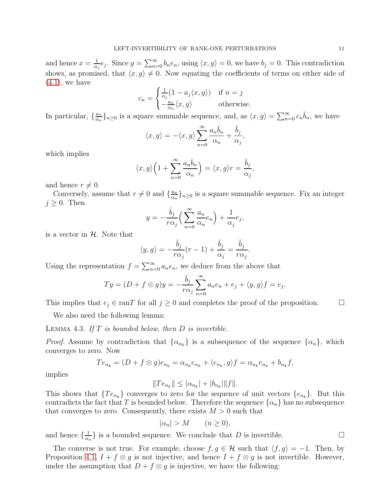and hence  $x = \frac{1}{\alpha}$  $\frac{1}{\alpha_j}e_j$ . Since  $g = \sum_{n=0}^{\infty} b_ne_n$ , using  $\langle x, g \rangle = 0$ , we have  $b_j = 0$ . This contradiction shows, as promised, that  $\langle x, g \rangle \neq 0$ . Now equating the coefficients of terms on either side of  $(4.1)$ , we have

$$
c_n = \begin{cases} \frac{1}{\alpha_j} (1 - a_j \langle x, g \rangle) & \text{if } n = j \\ -\frac{a_n}{\alpha_n} \langle x, g \rangle & \text{otherwise.} \end{cases}
$$

In particular,  $\{\frac{a_n}{\alpha_n}\}$  $\frac{a_n}{\alpha_n}$ ,  $n \geq 0$  is a square summable sequence, and, as  $\langle x, g \rangle = \sum_{n=0}^{\infty} c_n \overline{b}_n$ , we have

$$
\langle x, g \rangle = -\langle x, g \rangle \sum_{n=0}^{\infty} \frac{a_n \overline{b}_n}{\alpha_n} + \frac{\overline{b}_j}{\alpha_j},
$$

which implies

$$
\langle x, g \rangle \left( 1 + \sum_{n=0}^{\infty} \frac{a_n \bar{b}_n}{\alpha_n} \right) = \langle x, g \rangle r = \frac{\bar{b}_j}{\alpha_j},
$$

and hence  $r \neq 0$ .

Conversely, assume that  $r \neq 0$  and  $\{\frac{a_n}{a_n}\}$  $\frac{a_n}{\alpha_n}$ <sub> $\}_n \geq 0$ </sub> is a square summable sequence. Fix an integer  $j \geq 0$ . Then

$$
y = -\frac{\bar{b}_j}{r\alpha_j} \left( \sum_{n=0}^{\infty} \frac{a_n}{\alpha_n} e_n \right) + \frac{1}{\alpha_j} e_j,
$$

is a vector in  $H$ . Note that

$$
\langle y, g \rangle = -\frac{\bar{b}_j}{r\alpha_j}(r-1) + \frac{\bar{b}_j}{\alpha_j} = \frac{\bar{b}_j}{r\alpha_j}.
$$

Using the representation  $f = \sum_{n=0}^{\infty} a_n e_n$ , we deduce from the above that

$$
Ty = (D + f \otimes g)y = -\frac{\bar{b}_j}{r\alpha_j} \sum_{n=0}^{\infty} a_n e_n + e_j + \langle y, g \rangle f = e_j.
$$

This implies that  $e_j \in \text{ran}T$  for all  $j \geq 0$  and completes the proof of the proposition.  $\Box$ 

We also need the following lemma:

<span id="page-10-0"></span>LEMMA 4.3. If  $T$  is bounded below, then  $D$  is invertible.

*Proof.* Assume by contradiction that  $\{\alpha_{n_k}\}\$ is a subsequence of the sequence  $\{\alpha_n\}$ , which converges to zero. Now

$$
Te_{n_k} = (D + f \otimes g)e_{n_k} = \alpha_{n_k}e_{n_k} + \langle e_{n_k}, g \rangle f = \alpha_{n_k}e_{n_k} + b_{n_k}f,
$$

implies

$$
||Te_{n_k}|| \leq |\alpha_{n_k}| + |b_{n_k}|||f||.
$$

This shows that  ${Te_{n_k}}$  converges to zero for the sequence of unit vectors  ${e_{n_k}}$ . But this contradicts the fact that T is bounded below. Therefore the sequence  $\{\alpha_n\}$  has no subsequence that converges to zero. Consequently, there exists  $M > 0$  such that

$$
|\alpha_n| > M \qquad (n \ge 0),
$$

and hence  $\frac{1}{\alpha}$  $\frac{1}{\alpha_n}$  is a bounded sequence. We conclude that D is invertible.

The converse is not true. For example, choose  $f, g \in \mathcal{H}$  such that  $\langle f, g \rangle = -1$ . Then, by Proposition [4.1,](#page-9-2)  $I + f \otimes g$  is not injective, and hence  $I + f \otimes g$  is not invertible. However, under the assumption that  $D + f \otimes g$  is injective, we have the following: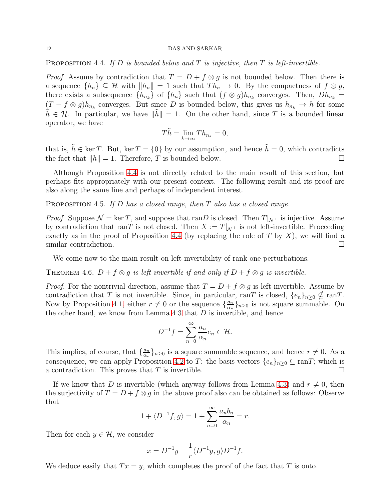<span id="page-11-1"></span>PROPOSITION 4.4. If  $D$  is bounded below and  $T$  is injective, then  $T$  is left-invertible.

*Proof.* Assume by contradiction that  $T = D + f \otimes g$  is not bounded below. Then there is a sequence  $\{h_n\} \subseteq \mathcal{H}$  with  $||h_n|| = 1$  such that  $Th_n \to 0$ . By the compactness of  $f \otimes g$ , there exists a subsequence  $\{h_{n_k}\}\$  of  $\{h_n\}$  such that  $(f \otimes g)h_{n_k}$  converges. Then,  $Dh_{n_k} =$  $(T - f \otimes g)h_{n_k}$  converges. But since D is bounded below, this gives us  $h_{n_k} \to \tilde{h}$  for some  $\tilde{h} \in \mathcal{H}$ . In particular, we have  $\|\tilde{h}\| = 1$ . On the other hand, since T is a bounded linear operator, we have

$$
T\tilde{h} = \lim_{k \to \infty} Th_{n_k} = 0,
$$

that is,  $\tilde{h} \in \text{ker } T$ . But,  $\text{ker } T = \{0\}$  by our assumption, and hence  $\tilde{h} = 0$ , which contradicts the fact that  $\|\tilde{h}\| = 1$ . Therefore, T is bounded below.

Although Proposition [4.4](#page-11-1) is not directly related to the main result of this section, but perhaps fits appropriately with our present context. The following result and its proof are also along the same line and perhaps of independent interest.

PROPOSITION 4.5. If D has a closed range, then T also has a closed range.

*Proof.* Suppose  $\mathcal{N} = \ker T$ , and suppose that ranD is closed. Then  $T|_{\mathcal{N}^{\perp}}$  is injective. Assume by contradiction that ranT is not closed. Then  $X := T|_{\mathcal{N}^{\perp}}$  is not left-invertible. Proceeding exactly as in the proof of Proposition [4.4](#page-11-1) (by replacing the role of T by X), we will find a similar contradiction.

We come now to the main result on left-invertibility of rank-one perturbations.

<span id="page-11-0"></span>THEOREM 4.6.  $D + f \otimes g$  is left-invertible if and only if  $D + f \otimes g$  is invertible.

*Proof.* For the nontrivial direction, assume that  $T = D + f \otimes g$  is left-invertible. Assume by contradiction that T is not invertible. Since, in particular, ranT is closed,  $\{e_n\}_{n\geq 0} \nsubseteq \text{ran}T$ . Now by Proposition [4.1,](#page-9-2) either  $r \neq 0$  or the sequence  $\{\frac{a_n}{\alpha_n}\}$  $\frac{a_n}{\alpha_n}$ <sub>*n*</sub> $\geq$ <sup>0</sup> is not square summable. On the other hand, we know from Lemma [4.3](#page-10-0) that  $D$  is invertible, and hence

$$
D^{-1}f = \sum_{n=0}^{\infty} \frac{a_n}{\alpha_n} e_n \in \mathcal{H}.
$$

This implies, of course, that  $\{\frac{a_n}{\alpha_n}\}$  $\frac{a_n}{\alpha_n}$ <sub>*n*</sub> $\geq$ <sup>0</sup> is a square summable sequence, and hence  $r \neq 0$ . As a consequence, we can apply Proposition [4.2](#page-9-3) to T: the basis vectors  $\{e_n\}_{n\geq 0} \subseteq \text{ran}T$ ; which is a contradiction. This proves that T is invertible.  $\Box$ 

If we know that D is invertible (which anyway follows from Lemma [4.3\)](#page-10-0) and  $r \neq 0$ , then the surjectivity of  $T = D + f \otimes g$  in the above proof also can be obtained as follows: Observe that

$$
1 + \langle D^{-1}f, g \rangle = 1 + \sum_{n=0}^{\infty} \frac{a_n \overline{b}_n}{\alpha_n} = r.
$$

Then for each  $y \in \mathcal{H}$ , we consider

$$
x = D^{-1}y - \frac{1}{r} \langle D^{-1}y, g \rangle D^{-1}f.
$$

We deduce easily that  $Tx = y$ , which completes the proof of the fact that T is onto.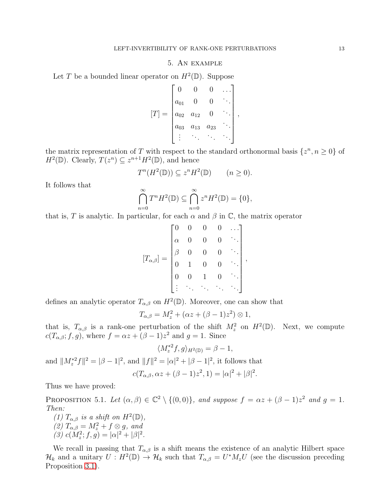## 5. An example

<span id="page-12-0"></span>Let T be a bounded linear operator on  $H^2(\mathbb{D})$ . Suppose

$$
[T] = \begin{bmatrix} 0 & 0 & 0 & \dots \\ a_{01} & 0 & 0 & \ddots \\ a_{02} & a_{12} & 0 & \ddots \\ a_{03} & a_{13} & a_{23} & \ddots \\ \vdots & \vdots & \ddots & \ddots \end{bmatrix},
$$

the matrix representation of T with respect to the standard orthonormal basis  $\{z^n, n \geq 0\}$  of  $H^2(\mathbb{D})$ . Clearly,  $T(z^n) \subseteq z^{n+1}H^2(\mathbb{D})$ , and hence

$$
T^n(H^2(\mathbb{D})) \subseteq z^n H^2(\mathbb{D}) \qquad (n \ge 0).
$$

It follows that

$$
\bigcap_{n=0}^{\infty} T^n H^2(\mathbb{D}) \subseteq \bigcap_{n=0}^{\infty} z^n H^2(\mathbb{D}) = \{0\},\
$$

that is, T is analytic. In particular, for each  $\alpha$  and  $\beta$  in  $\mathbb{C}$ , the matrix operator

$$
[T_{\alpha,\beta}]=\begin{bmatrix} 0 & 0 & 0 & 0 & \cdots \\ \alpha & 0 & 0 & 0 & \ddots \\ \beta & 0 & 0 & 0 & \ddots \\ 0 & 1 & 0 & 0 & \ddots \\ 0 & 0 & 1 & 0 & \ddots \\ \vdots & \ddots & \ddots & \ddots & \ddots \end{bmatrix},
$$

defines an analytic operator  $T_{\alpha,\beta}$  on  $H^2(\mathbb{D})$ . Moreover, one can show that

$$
T_{\alpha,\beta}=M_z^2+(\alpha z+(\beta-1)z^2)\otimes 1,
$$

that is,  $T_{\alpha,\beta}$  is a rank-one perturbation of the shift  $M_z^2$  on  $H^2(\mathbb{D})$ . Next, we compute  $c(T_{\alpha,\beta};f,g)$ , where  $f = \alpha z + (\beta - 1)z^2$  and  $g = 1$ . Since

$$
\langle M_z^{*2}f, g \rangle_{H^2(\mathbb{D})} = \beta - 1,
$$
  
and  $||M_z^{*2}f||^2 = |\beta - 1|^2$ , and  $||f||^2 = |\alpha|^2 + |\beta - 1|^2$ , it follows

$$
c(T_{\alpha,\beta}, \alpha z + (\beta - 1)z^2, 1) = |\alpha|^2 + |\beta|^2.
$$

that

Thus we have proved:

PROPOSITION 5.1. Let  $(\alpha, \beta) \in \mathbb{C}^2 \setminus \{(0,0)\},$  and suppose  $f = \alpha z + (\beta - 1)z^2$  and  $g = 1$ . Then:

(1)  $T_{\alpha,\beta}$  is a shift on  $H^2(\mathbb{D})$ , (2)  $T_{\alpha,\beta} = M_z^2 + f \otimes g$ , and (3)  $c(M_z^2; f, g) = |\alpha|^2 + |\beta|^2$ .

We recall in passing that  $T_{\alpha,\beta}$  is a shift means the existence of an analytic Hilbert space  $\mathcal{H}_k$  and a unitary  $U: H^2(\mathbb{D}) \to \mathcal{H}_k$  such that  $T_{\alpha,\beta} = U^* M_z U$  (see the discussion preceding Proposition [3.1\)](#page-7-0).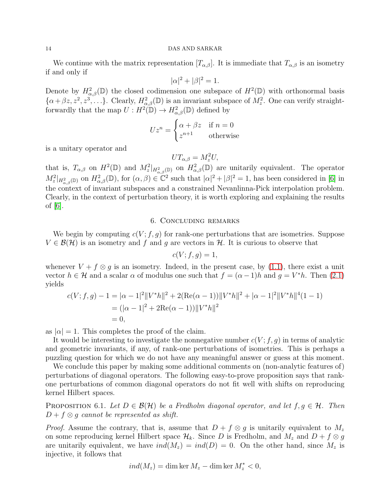We continue with the matrix representation  $[T_{\alpha,\beta}]$ . It is immediate that  $T_{\alpha,\beta}$  is an isometry if and only if

$$
|\alpha|^2 + |\beta|^2 = 1.
$$

Denote by  $H^2_{\alpha,\beta}(\mathbb{D})$  the closed codimension one subspace of  $H^2(\mathbb{D})$  with orthonormal basis  $\{\alpha+\beta z, z^2, z^3, \ldots\}$ . Clearly,  $H^2_{\alpha,\beta}(\mathbb{D})$  is an invariant subspace of  $M_z^2$ . One can verify straightforwardly that the map  $U: H^2(\mathbb{D}) \to H^2_{\alpha,\beta}(\mathbb{D})$  defined by

$$
Uz^n = \begin{cases} \alpha + \beta z & \text{if } n = 0\\ z^{n+1} & \text{otherwise} \end{cases}
$$

is a unitary operator and

$$
UT_{\alpha,\beta}=M_z^2U,
$$

that is,  $T_{\alpha,\beta}$  on  $H^2(\mathbb{D})$  and  $M_z^2|_{H_{\alpha,\beta}^2(\mathbb{D})}$  on  $H_{\alpha,\beta}^2(\mathbb{D})$  are unitarily equivalent. The operator  $M_z^2|_{H_{\alpha,\beta}^2(\mathbb{D})}$  on  $H_{\alpha,\beta}^2(\mathbb{D})$ , for  $(\alpha,\beta)\in\mathbb{C}^2$  such that  $|\alpha|^2+|\beta|^2=1$ , has been considered in [6] in the context of invariant subspaces and a constrained Nevanlinna-Pick interpolation problem. Clearly, in the context of perturbation theory, it is worth exploring and explaining the results of  $|6|$ .

# 6. Concluding remarks

<span id="page-13-0"></span>We begin by computing  $c(V; f, g)$  for rank-one perturbations that are isometries. Suppose  $V \in \mathcal{B}(\mathcal{H})$  is an isometry and f and g are vectors in H. It is curious to observe that

$$
c(V; f, g) = 1,
$$

whenever  $V + f \otimes g$  is an isometry. Indeed, in the present case, by [\(1.1\)](#page-1-2), there exist a unit vector  $h \in \mathcal{H}$  and a scalar  $\alpha$  of modulus one such that  $f = (\alpha - 1)h$  and  $g = V^*h$ . Then [\(2.1\)](#page-2-1) yields

$$
c(V; f, g) - 1 = |\alpha - 1|^2 ||V^* h||^2 + 2(\text{Re}(\alpha - 1)) ||V^* h||^2 + |\alpha - 1|^2 ||V^* h||^4 (1 - 1)
$$
  
=  $(|\alpha - 1|^2 + 2\text{Re}(\alpha - 1)) ||V^* h||^2$   
= 0,

as  $|\alpha| = 1$ . This completes the proof of the claim.

It would be interesting to investigate the nonnegative number  $c(V; f, g)$  in terms of analytic and geometric invariants, if any, of rank-one perturbations of isometries. This is perhaps a puzzling question for which we do not have any meaningful answer or guess at this moment.

We conclude this paper by making some additional comments on (non-analytic features of) perturbations of diagonal operators. The following easy-to-prove proposition says that rankone perturbations of common diagonal operators do not fit well with shifts on reproducing kernel Hilbert spaces.

PROPOSITION 6.1. Let  $D \in \mathcal{B}(\mathcal{H})$  be a Fredholm diagonal operator, and let  $f, g \in \mathcal{H}$ . Then  $D + f \otimes g$  cannot be represented as shift.

*Proof.* Assume the contrary, that is, assume that  $D + f \otimes q$  is unitarily equivalent to  $M_z$ on some reproducing kernel Hilbert space  $\mathcal{H}_k$ . Since D is Fredholm, and  $M_z$  and  $D + f \otimes g$ are unitarily equivalent, we have  $ind(M_z) = ind(D) = 0$ . On the other hand, since  $M_z$  is injective, it follows that

$$
ind(M_z) = \dim \ker M_z - \dim \ker M_z^* < 0,
$$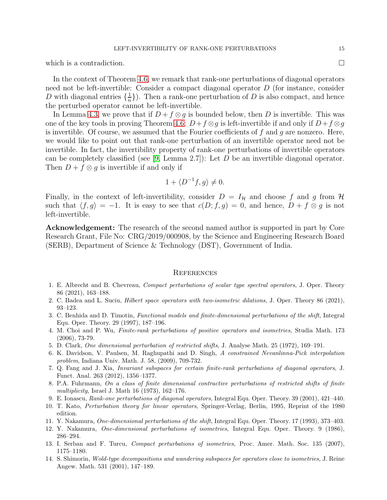which is a contradiction.  $\Box$ 

In the context of Theorem [4.6,](#page-11-0) we remark that rank-one perturbations of diagonal operators need not be left-invertible: Consider a compact diagonal operator D (for instance, consider D with diagonal entries  $\{\frac{1}{n}\}$  $\frac{1}{n}$ . Then a rank-one perturbation of D is also compact, and hence the perturbed operator cannot be left-invertible.

In Lemma [4.3,](#page-10-0) we prove that if  $D+f\otimes g$  is bounded below, then D is invertible. This was one of the key tools in proving Theorem [4.6:](#page-11-0)  $D+f\otimes q$  is left-invertible if and only if  $D+f\otimes q$ is invertible. Of course, we assumed that the Fourier coefficients of  $f$  and  $g$  are nonzero. Here, we would like to point out that rank-one perturbation of an invertible operator need not be invertible. In fact, the invertibility property of rank-one perturbations of invertible operators can be completely classified (see [\[9,](#page-14-7) Lemma 2.7]): Let  $D$  be an invertible diagonal operator. Then  $D + f \otimes q$  is invertible if and only if

$$
1 + \langle D^{-1}f, g \rangle \neq 0.
$$

Finally, in the context of left-invertibility, consider  $D = I_{\mathcal{H}}$  and choose f and g from H such that  $\langle f, g \rangle = -1$ . It is easy to see that  $c(D; f, g) = 0$ , and hence,  $D + f \otimes g$  is not left-invertible.

Acknowledgement: The research of the second named author is supported in part by Core Research Grant, File No: CRG/2019/000908, by the Science and Engineering Research Board (SERB), Department of Science & Technology (DST), Government of India.

#### <span id="page-14-0"></span>**REFERENCES**

- <span id="page-14-8"></span>1. E. Albrecht and B. Chevreau, Compact perturbations of scalar type spectral operators, J. Oper. Theory 86 (2021), 163–188.
- <span id="page-14-9"></span><span id="page-14-3"></span>2. C. Badea and L. Suciu, Hilbert space operators with two-isometric dilations, J. Oper. Theory 86 (2021), 93–123.
- 3. C. Benhida and D. Timotin, Functional models and finite-dimensional perturbations of the shift, Integral Equ. Oper. Theory. 29 (1997), 187–196.
- <span id="page-14-4"></span>4. M. Choi and P. Wu, Finite-rank perturbations of positive operators and isometries, Studia Math. 173 (2006), 73-79.
- <span id="page-14-5"></span>5. D. Clark, One dimensional perturbation of restricted shifts, J. Analyse Math. 25 (1972), 169–191.
- 6. K. Davidson, V. Paulsen, M. Raghupathi and D. Singh, A constrained Nevanlinna-Pick interpolation problem, Indiana Univ. Math. J. 58, (2009), 709-732.
- 7. Q. Fang and J. Xia, Invariant subspaces for certain finite-rank perturbations of diagonal operators, J. Funct. Anal. 263 (2012), 1356–1377.
- <span id="page-14-6"></span>8. P.A. Fuhrmann, On a class of finite dimensional contractive perturbations of restricted shifts of finite multiplicity, Israel J. Math 16 (1973), 162–176.
- <span id="page-14-7"></span>9. E. Ionascu, Rank-one perturbations of diagonal operators, Integral Equ. Oper. Theory. 39 (2001), 421–440.
- <span id="page-14-2"></span>10. T. Kato, Perturbation theory for linear operators, Springer-Verlag, Berlin, 1995, Reprint of the 1980 edition.
- 11. Y. Nakamura, One-dimensional perturbations of the shift, Integral Equ. Oper. Theory. 17 (1993), 373–403.
- 12. Y. Nakamura, One-dimensional perturbations of isometries, Integral Equ. Oper. Theory. 9 (1986), 286–294.
- <span id="page-14-1"></span>13. I. Serban and F. Turcu, Compact perturbations of isometries, Proc. Amer. Math. Soc. 135 (2007), 1175–1180.
- 14. S. Shimorin, Wold-type decompositions and wandering subspaces for operators close to isometries, J. Reine Angew. Math. 531 (2001), 147–189.